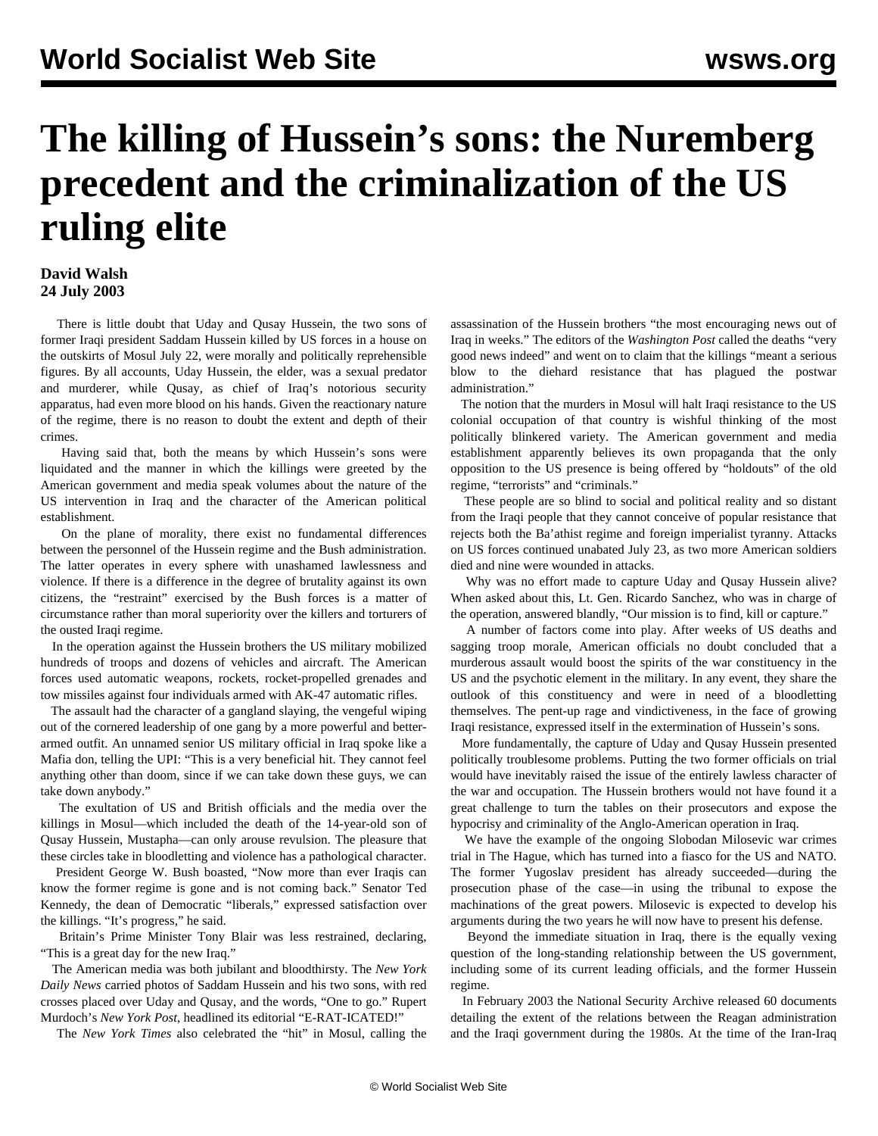## **The killing of Hussein's sons: the Nuremberg precedent and the criminalization of the US ruling elite**

## **David Walsh 24 July 2003**

 There is little doubt that Uday and Qusay Hussein, the two sons of former Iraqi president Saddam Hussein killed by US forces in a house on the outskirts of Mosul July 22, were morally and politically reprehensible figures. By all accounts, Uday Hussein, the elder, was a sexual predator and murderer, while Qusay, as chief of Iraq's notorious security apparatus, had even more blood on his hands. Given the reactionary nature of the regime, there is no reason to doubt the extent and depth of their crimes.

 Having said that, both the means by which Hussein's sons were liquidated and the manner in which the killings were greeted by the American government and media speak volumes about the nature of the US intervention in Iraq and the character of the American political establishment.

 On the plane of morality, there exist no fundamental differences between the personnel of the Hussein regime and the Bush administration. The latter operates in every sphere with unashamed lawlessness and violence. If there is a difference in the degree of brutality against its own citizens, the "restraint" exercised by the Bush forces is a matter of circumstance rather than moral superiority over the killers and torturers of the ousted Iraqi regime.

 In the operation against the Hussein brothers the US military mobilized hundreds of troops and dozens of vehicles and aircraft. The American forces used automatic weapons, rockets, rocket-propelled grenades and tow missiles against four individuals armed with AK-47 automatic rifles.

 The assault had the character of a gangland slaying, the vengeful wiping out of the cornered leadership of one gang by a more powerful and betterarmed outfit. An unnamed senior US military official in Iraq spoke like a Mafia don, telling the UPI: "This is a very beneficial hit. They cannot feel anything other than doom, since if we can take down these guys, we can take down anybody."

 The exultation of US and British officials and the media over the killings in Mosul—which included the death of the 14-year-old son of Qusay Hussein, Mustapha—can only arouse revulsion. The pleasure that these circles take in bloodletting and violence has a pathological character.

 President George W. Bush boasted, "Now more than ever Iraqis can know the former regime is gone and is not coming back." Senator Ted Kennedy, the dean of Democratic "liberals," expressed satisfaction over the killings. "It's progress," he said.

 Britain's Prime Minister Tony Blair was less restrained, declaring, "This is a great day for the new Iraq."

 The American media was both jubilant and bloodthirsty. The *New York Daily News* carried photos of Saddam Hussein and his two sons, with red crosses placed over Uday and Qusay, and the words, "One to go." Rupert Murdoch's *New York Post*, headlined its editorial "E-RAT-ICATED!"

The *New York Times* also celebrated the "hit" in Mosul, calling the

assassination of the Hussein brothers "the most encouraging news out of Iraq in weeks." The editors of the *Washington Post* called the deaths "very good news indeed" and went on to claim that the killings "meant a serious blow to the diehard resistance that has plagued the postwar administration."

 The notion that the murders in Mosul will halt Iraqi resistance to the US colonial occupation of that country is wishful thinking of the most politically blinkered variety. The American government and media establishment apparently believes its own propaganda that the only opposition to the US presence is being offered by "holdouts" of the old regime, "terrorists" and "criminals."

 These people are so blind to social and political reality and so distant from the Iraqi people that they cannot conceive of popular resistance that rejects both the Ba'athist regime and foreign imperialist tyranny. Attacks on US forces continued unabated July 23, as two more American soldiers died and nine were wounded in attacks.

 Why was no effort made to capture Uday and Qusay Hussein alive? When asked about this, Lt. Gen. Ricardo Sanchez, who was in charge of the operation, answered blandly, "Our mission is to find, kill or capture."

 A number of factors come into play. After weeks of US deaths and sagging troop morale, American officials no doubt concluded that a murderous assault would boost the spirits of the war constituency in the US and the psychotic element in the military. In any event, they share the outlook of this constituency and were in need of a bloodletting themselves. The pent-up rage and vindictiveness, in the face of growing Iraqi resistance, expressed itself in the extermination of Hussein's sons.

 More fundamentally, the capture of Uday and Qusay Hussein presented politically troublesome problems. Putting the two former officials on trial would have inevitably raised the issue of the entirely lawless character of the war and occupation. The Hussein brothers would not have found it a great challenge to turn the tables on their prosecutors and expose the hypocrisy and criminality of the Anglo-American operation in Iraq.

 We have the example of the ongoing Slobodan Milosevic war crimes trial in The Hague, which has turned into a fiasco for the US and NATO. The former Yugoslav president has already succeeded—during the prosecution phase of the case—in using the tribunal to expose the machinations of the great powers. Milosevic is expected to develop his arguments during the two years he will now have to present his defense.

 Beyond the immediate situation in Iraq, there is the equally vexing question of the long-standing relationship between the US government, including some of its current leading officials, and the former Hussein regime.

 In February 2003 the National Security Archive released 60 documents detailing the extent of the relations between the Reagan administration and the Iraqi government during the 1980s. At the time of the Iran-Iraq